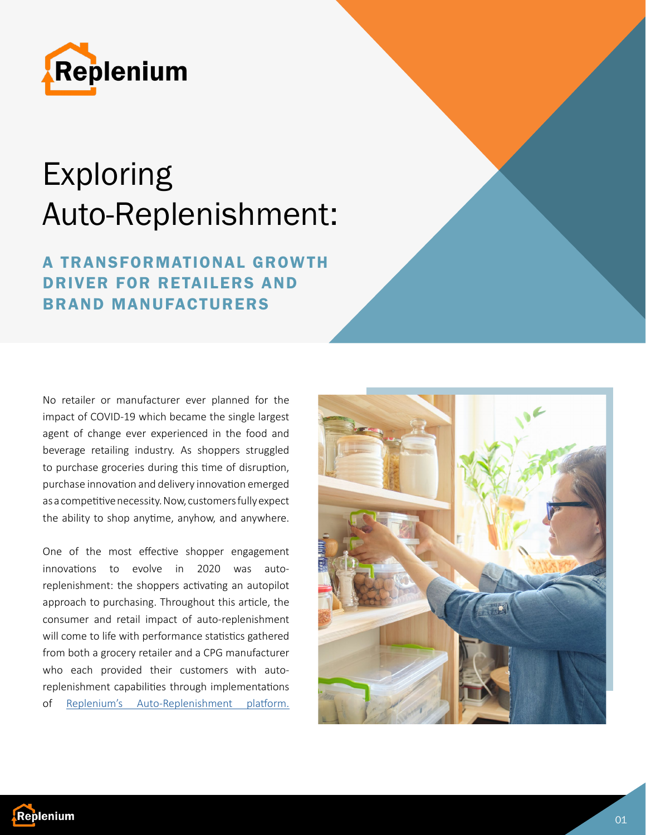

# Exploring Auto-Replenishment:

# **A TRANSFORMATIONAL GROWTH** DRIVER FOR RETAILERS AND BRAND MANUFACTURERS

No retailer or manufacturer ever planned for the impact of COVID-19 which became the single largest agent of change ever experienced in the food and beverage retailing industry. As shoppers struggled to purchase groceries during this time of disruption, purchase innovation and delivery innovation emerged as a competitive necessity. Now, customers fully expect the ability to shop anytime, anyhow, and anywhere.

One of the most effective shopper engagement innovations to evolve in 2020 was autoreplenishment: the shoppers activating an autopilot approach to purchasing. Throughout this article, the consumer and retail impact of auto-replenishment will come to life with performance statistics gathered from both a grocery retailer and a CPG manufacturer who each provided their customers with autoreplenishment capabilities through implementations of [Replenium's Auto-Replenishment platform.](https://www.replenium.com/)



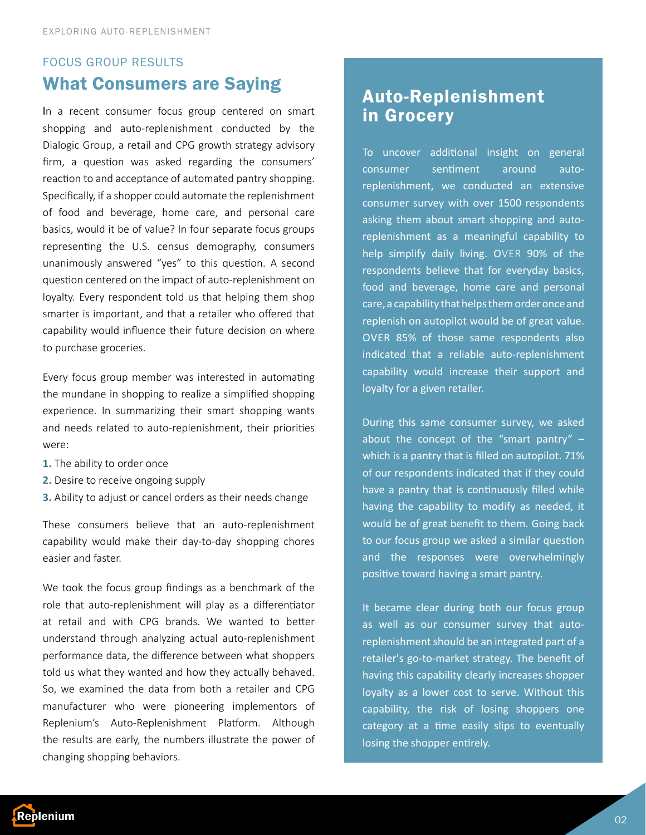### FOCUS GROUP RESULTS What Consumers are Saying

In a recent consumer focus group centered on smart shopping and auto-replenishment conducted by the Dialogic Group, a retail and CPG growth strategy advisory firm, a question was asked regarding the consumers' reaction to and acceptance of automated pantry shopping. Specifically, if a shopper could automate the replenishment of food and beverage, home care, and personal care basics, would it be of value? In four separate focus groups representing the U.S. census demography, consumers unanimously answered "yes" to this question. A second question centered on the impact of auto-replenishment on loyalty. Every respondent told us that helping them shop smarter is important, and that a retailer who offered that capability would influence their future decision on where to purchase groceries.

Every focus group member was interested in automating the mundane in shopping to realize a simplified shopping experience. In summarizing their smart shopping wants and needs related to auto-replenishment, their priorities were:

- **1.** The ability to order once
- **2.** Desire to receive ongoing supply
- **3.** Ability to adjust or cancel orders as their needs change

These consumers believe that an auto-replenishment capability would make their day-to-day shopping chores easier and faster.

We took the focus group findings as a benchmark of the role that auto-replenishment will play as a differentiator at retail and with CPG brands. We wanted to better understand through analyzing actual auto-replenishment performance data, the difference between what shoppers told us what they wanted and how they actually behaved. So, we examined the data from both a retailer and CPG manufacturer who were pioneering implementors of Replenium's Auto-Replenishment Platform. Although the results are early, the numbers illustrate the power of changing shopping behaviors.

## Auto-Replenishment in Grocery

To uncover additional insight on general consumer sentiment around autoreplenishment, we conducted an extensive consumer survey with over 1500 respondents asking them about smart shopping and autoreplenishment as a meaningful capability to help simplify daily living. OVER 90% of the respondents believe that for everyday basics, food and beverage, home care and personal care, a capability that helps them order once and replenish on autopilot would be of great value. OVER 85% of those same respondents also indicated that a reliable auto-replenishment capability would increase their support and loyalty for a given retailer.

During this same consumer survey, we asked about the concept of the "smart pantry"  $$ which is a pantry that is filled on autopilot. 71% of our respondents indicated that if they could have a pantry that is continuously filled while having the capability to modify as needed, it would be of great benefit to them. Going back to our focus group we asked a similar question and the responses were overwhelmingly positive toward having a smart pantry.

It became clear during both our focus group as well as our consumer survey that autoreplenishment should be an integrated part of a retailer's go-to-market strategy. The benefit of having this capability clearly increases shopper loyalty as a lower cost to serve. Without this capability, the risk of losing shoppers one category at a time easily slips to eventually losing the shopper entirely.

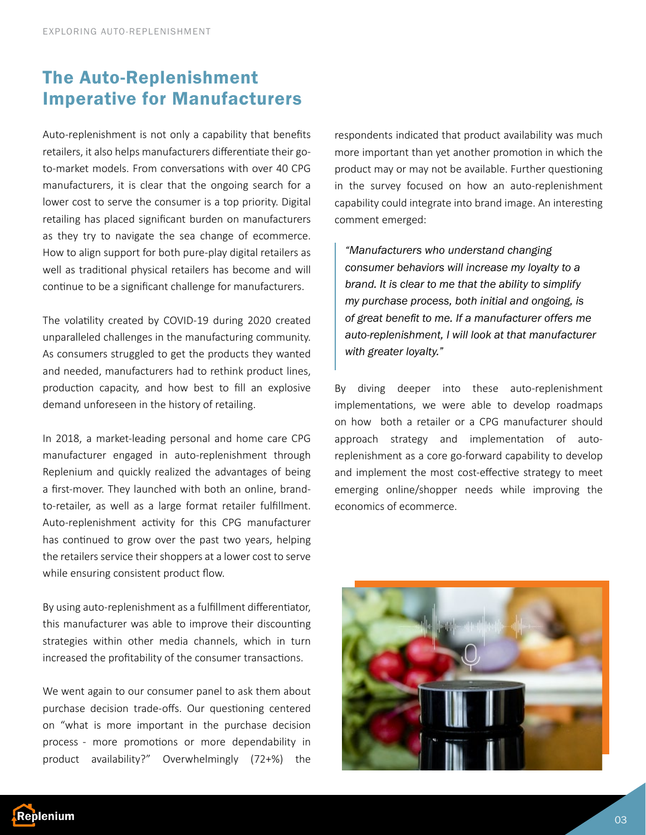## The Auto-Replenishment Imperative for Manufacturers

Auto-replenishment is not only a capability that benefits retailers, it also helps manufacturers differentiate their goto-market models. From conversations with over 40 CPG manufacturers, it is clear that the ongoing search for a lower cost to serve the consumer is a top priority. Digital retailing has placed significant burden on manufacturers as they try to navigate the sea change of ecommerce. How to align support for both pure-play digital retailers as well as traditional physical retailers has become and will continue to be a significant challenge for manufacturers.

The volatility created by COVID-19 during 2020 created unparalleled challenges in the manufacturing community. As consumers struggled to get the products they wanted and needed, manufacturers had to rethink product lines, production capacity, and how best to fill an explosive demand unforeseen in the history of retailing.

In 2018, a market-leading personal and home care CPG manufacturer engaged in auto-replenishment through Replenium and quickly realized the advantages of being a first-mover. They launched with both an online, brandto-retailer, as well as a large format retailer fulfillment. Auto-replenishment activity for this CPG manufacturer has continued to grow over the past two years, helping the retailers service their shoppers at a lower cost to serve while ensuring consistent product flow.

By using auto-replenishment as a fulfillment differentiator, this manufacturer was able to improve their discounting strategies within other media channels, which in turn increased the profitability of the consumer transactions.

We went again to our consumer panel to ask them about purchase decision trade-offs. Our questioning centered on "what is more important in the purchase decision process - more promotions or more dependability in product availability?" Overwhelmingly (72+%) the respondents indicated that product availability was much more important than yet another promotion in which the product may or may not be available. Further questioning in the survey focused on how an auto-replenishment capability could integrate into brand image. An interesting comment emerged:

*"Manufacturers who understand changing consumer behaviors will increase my loyalty to a brand. It is clear to me that the ability to simplify my purchase process, both initial and ongoing, is of great benefit to me. If a manufacturer offers me auto-replenishment, I will look at that manufacturer with greater loyalty."*

By diving deeper into these auto-replenishment implementations, we were able to develop roadmaps on how both a retailer or a CPG manufacturer should approach strategy and implementation of autoreplenishment as a core go-forward capability to develop and implement the most cost-effective strategy to meet emerging online/shopper needs while improving the economics of ecommerce.



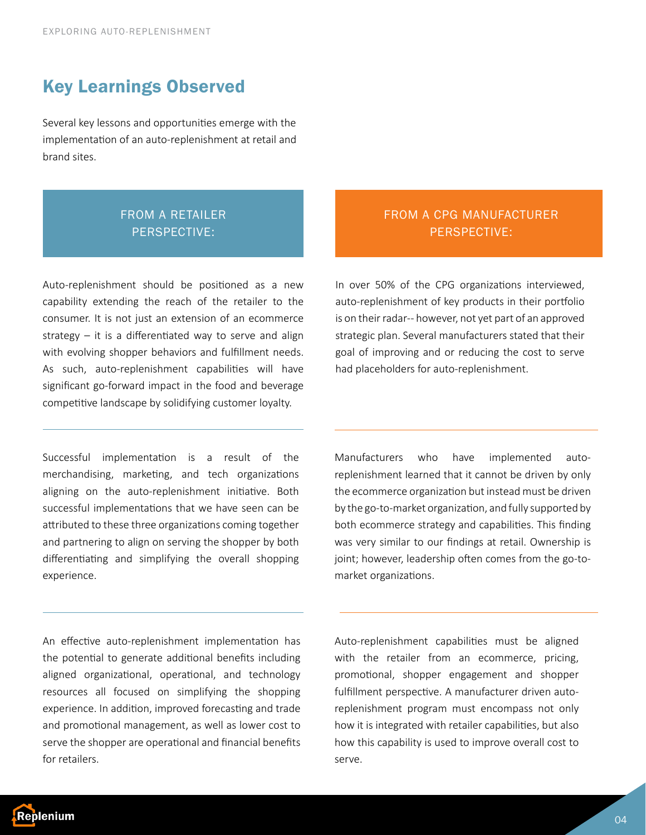### Key Learnings Observed

Several key lessons and opportunities emerge with the implementation of an auto-replenishment at retail and brand sites.

#### FROM A RETAILER PERSPECTIVE:

Auto-replenishment should be positioned as a new capability extending the reach of the retailer to the consumer. It is not just an extension of an ecommerce strategy – it is a differentiated way to serve and align with evolving shopper behaviors and fulfillment needs. As such, auto-replenishment capabilities will have significant go-forward impact in the food and beverage competitive landscape by solidifying customer loyalty.

Successful implementation is a result of the merchandising, marketing, and tech organizations aligning on the auto-replenishment initiative. Both successful implementations that we have seen can be attributed to these three organizations coming together and partnering to align on serving the shopper by both differentiating and simplifying the overall shopping experience.

An effective auto-replenishment implementation has the potential to generate additional benefits including aligned organizational, operational, and technology resources all focused on simplifying the shopping experience. In addition, improved forecasting and trade and promotional management, as well as lower cost to serve the shopper are operational and financial benefits for retailers.

#### FROM A CPG MANUFACTURER PERSPECTIVE:

In over 50% of the CPG organizations interviewed, auto-replenishment of key products in their portfolio is on their radar-- however, not yet part of an approved strategic plan. Several manufacturers stated that their goal of improving and or reducing the cost to serve had placeholders for auto-replenishment.

Manufacturers who have implemented autoreplenishment learned that it cannot be driven by only the ecommerce organization but instead must be driven by the go-to-market organization, and fully supported by both ecommerce strategy and capabilities. This finding was very similar to our findings at retail. Ownership is joint; however, leadership often comes from the go-tomarket organizations.

Auto-replenishment capabilities must be aligned with the retailer from an ecommerce, pricing, promotional, shopper engagement and shopper fulfillment perspective. A manufacturer driven autoreplenishment program must encompass not only how it is integrated with retailer capabilities, but also how this capability is used to improve overall cost to serve.